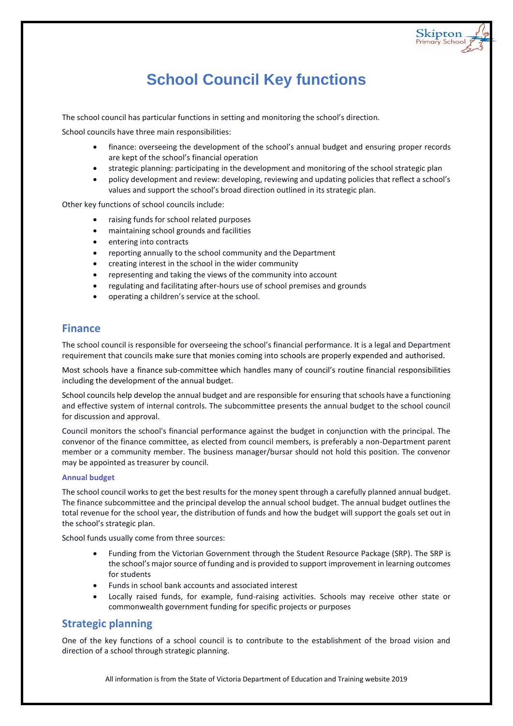## **School Council Key functions**

The school council has particular functions in setting and monitoring the school's direction.

School councils have three main responsibilities:

 finance: overseeing the development of the school's annual budget and ensuring proper records are kept of the school's financial operation

Skipton<br>Primary School

- strategic planning: participating in the development and monitoring of the school strategic plan
- policy development and review: developing, reviewing and updating policies that reflect a school's values and support the school's broad direction outlined in its strategic plan.

Other key functions of school councils include:

- raising funds for school related purposes
- maintaining school grounds and facilities
- entering into contracts
- reporting annually to the school community and the Department
- creating interest in the school in the wider community
- representing and taking the views of the community into account
- regulating and facilitating after-hours use of school premises and grounds
- operating a children's service at the school.

## **Finance**

The school council is responsible for overseeing the school's financial performance. It is a legal and Department requirement that councils make sure that monies coming into schools are properly expended and authorised.

Most schools have a finance [sub-committee](https://www.education.vic.gov.au/school/teachers/management/community/Pages/schoolcouncilssub.aspx) which handles many of council's routine financial responsibilities including the development of the annual budget.

[School councils](https://www.education.vic.gov.au/school/teachers/management/community/Pages/schoolcouncils.aspx) help develop the annual budget and are responsible for ensuring that schools have a functioning and effective system of internal controls. The subcommittee presents the annual budget to the school council for discussion and approval.

Council monitors the school's financial performance against the budget in conjunction with the principal. The convenor of the finance committee, as elected from council members, is preferably a non-Department parent member or a community member. The business manager/bursar should not hold this position. The convenor may be appointed as treasurer by council.

### **Annual budget**

The school council works to get the best results for the money spent through a carefully planned annual budget. The finance subcommittee and the principal develop the annual school budget. The annual budget outlines the total revenue for the school year, the distribution of funds and how the budget will support the goals set out in the school's strategic plan.

School funds usually come from three sources:

- Funding from the Victorian Government through the Student Resource Package (SRP). The SRP is the school's major source of funding and is provided to support improvement in learning outcomes for students
- Funds in school bank accounts and associated interest
- Locally raised funds, for example, fund-raising activities. Schools may receive other state or commonwealth government funding for specific projects or purposes

## **Strategic planning**

One of the key functions of a school council is to contribute to the establishment of the broad vision and direction of a school through strategic planning.

All information is from the State of Victoria Department of Education and Training website 2019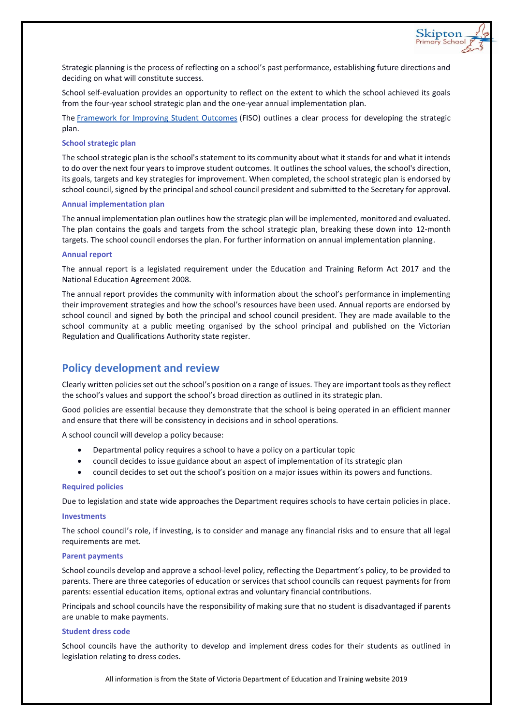Strategic planning is the process of reflecting on a school's past performance, establishing future directions and deciding on what will constitute success.

Skipton Primary Schoo

School self-evaluation provides an opportunity to reflect on the extent to which the school achieved its goals from the four-year school strategic plan and the one-year annual implementation plan.

The [Framework for Improving Student Outcomes](https://www.education.vic.gov.au/school/teachers/management/improvement/Pages/FISO.aspx) (FISO) outlines a clear process for developing the strategic plan.

### **School strategic plan**

The school strategic plan is the school's statement to its community about what it stands for and what it intends to do over the next four years to improve student outcomes. It outlines the school values, the school's direction, its goals, targets and key strategies for improvement. When completed, the school strategic plan is endorsed by school council, signed by the principal and school council president and submitted to the Secretary for approval.

#### **Annual implementation plan**

The annual implementation plan outlines how the strategic plan will be implemented, monitored and evaluated. The plan contains the goals and targets from the school strategic plan, breaking these down into 12-month targets. The school council endorses the plan. For further information on annual implementation planning.

#### **Annual report**

The annual report is a legislated requirement under the Education and Training Reform Act 2017 and the National Education Agreement 2008.

The annual report provides the community with information about the school's performance in implementing their improvement strategies and how the school's resources have been used. Annual reports are endorsed by school council and signed by both the principal and school council president. They are made available to the school community at a public meeting organised by the school principal and published on the Victorian Regulation and Qualifications Authority state register.

## **Policy development and review**

Clearly written policies set out the school's position on a range of issues. They are important tools as they reflect the school's values and support the school's broad direction as outlined in its strategic plan.

Good policies are essential because they demonstrate that the school is being operated in an efficient manner and ensure that there will be consistency in decisions and in school operations.

A school council will develop a policy because:

- Departmental policy requires a school to have a policy on a particular topic
- council decides to issue guidance about an aspect of implementation of its strategic plan
- council decides to set out the school's position on a major issues within its powers and functions.

#### **Required policies**

Due to legislation and state wide approaches the Department requires schools to have certain policies in place.

#### **Investments**

The school council's role, if investing, is to consider and manage any financial risks and to ensure that all legal requirements are met.

#### **Parent payments**

School councils develop and approve a school-level policy, reflecting the Department's policy, to be provided to parents. There are three categories of education or services that school councils can request [payments for from](https://www.education.vic.gov.au/school/principals/spag/management/pages/parentpayments.aspx)  [parents:](https://www.education.vic.gov.au/school/principals/spag/management/pages/parentpayments.aspx) essential education items, optional extras and voluntary financial contributions.

Principals and school councils have the responsibility of making sure that no student is disadvantaged if parents are unable to make payments.

#### **Student dress code**

School councils have the authority to develop and implement [dress codes](https://www.education.vic.gov.au/school/principals/spag/management/pages/dresscode.aspx) for their students as outlined in legislation relating to dress codes.

All information is from the State of Victoria Department of Education and Training website 2019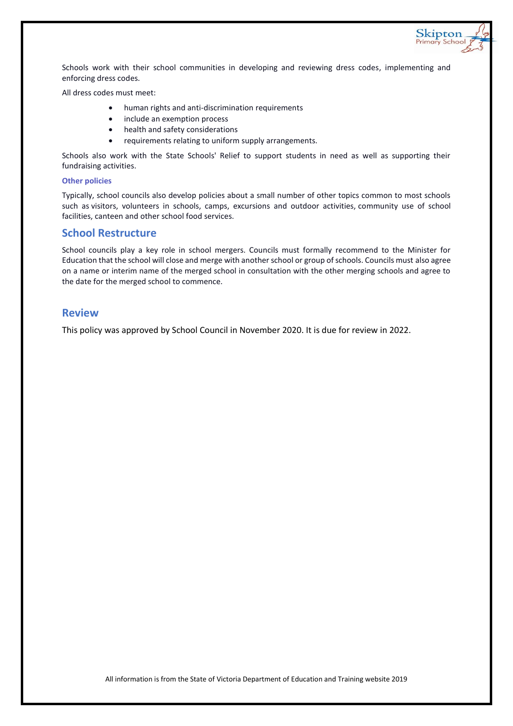Schools work with their school communities in developing and reviewing dress codes, implementing and enforcing dress codes.

Skipton<br>Primary School

All dress codes must meet:

- human rights and anti-discrimination requirements
- include an exemption process
- health and safety considerations
- requirements relating to uniform supply arrangements.

Schools also work with the State Schools' Relief to support students in need as well as supporting their fundraising activities.

#### **Other policies**

Typically, school councils also develop policies about a small number of other topics common to most schools such as visitors, volunteers in schools, camps, excursions and outdoor activities, community use of school facilities, canteen and other school food services.

## **School Restructure**

School councils play a key role in school mergers. Councils must formally recommend to the Minister for Education that the school will close and merge with another school or group of schools. Councils must also agree on a name or interim name of the merged school in consultation with the other merging schools and agree to the date for the merged school to commence.

## **Review**

This policy was approved by School Council in November 2020. It is due for review in 2022.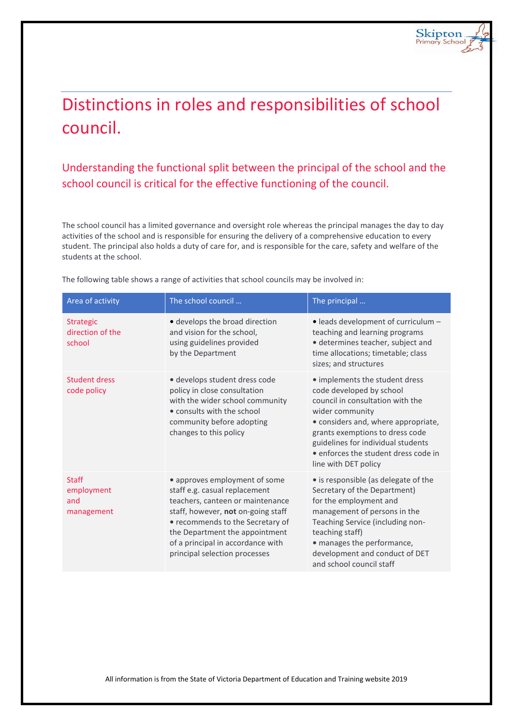# Distinctions in roles and responsibilities of school council.

## Understanding the functional split between the principal of the school and the school council is critical for the effective functioning of the council.

The school council has a limited governance and oversight role whereas the principal manages the day to day activities of the school and is responsible for ensuring the delivery of a comprehensive education to every student. The principal also holds a duty of care for, and is responsible for the care, safety and welfare of the students at the school.

| Area of activity                                | The school council                                                                                                                                                                                                                                                                   | The principal                                                                                                                                                                                                                                                                                     |
|-------------------------------------------------|--------------------------------------------------------------------------------------------------------------------------------------------------------------------------------------------------------------------------------------------------------------------------------------|---------------------------------------------------------------------------------------------------------------------------------------------------------------------------------------------------------------------------------------------------------------------------------------------------|
| <b>Strategic</b><br>direction of the<br>school  | · develops the broad direction<br>and vision for the school,<br>using guidelines provided<br>by the Department                                                                                                                                                                       | • leads development of curriculum -<br>teaching and learning programs<br>· determines teacher, subject and<br>time allocations; timetable; class<br>sizes; and structures                                                                                                                         |
| Student dress<br>code policy                    | · develops student dress code<br>policy in close consultation<br>with the wider school community<br>• consults with the school<br>community before adopting<br>changes to this policy                                                                                                | • implements the student dress<br>code developed by school<br>council in consultation with the<br>wider community<br>· considers and, where appropriate,<br>grants exemptions to dress code<br>guidelines for individual students<br>• enforces the student dress code in<br>line with DET policy |
| <b>Staff</b><br>employment<br>and<br>management | • approves employment of some<br>staff e.g. casual replacement<br>teachers, canteen or maintenance<br>staff, however, not on-going staff<br>• recommends to the Secretary of<br>the Department the appointment<br>of a principal in accordance with<br>principal selection processes | • is responsible (as delegate of the<br>Secretary of the Department)<br>for the employment and<br>management of persons in the<br>Teaching Service (including non-<br>teaching staff)<br>• manages the performance,<br>development and conduct of DET<br>and school council staff                 |

The following table shows a range of activities that school councils may be involved in: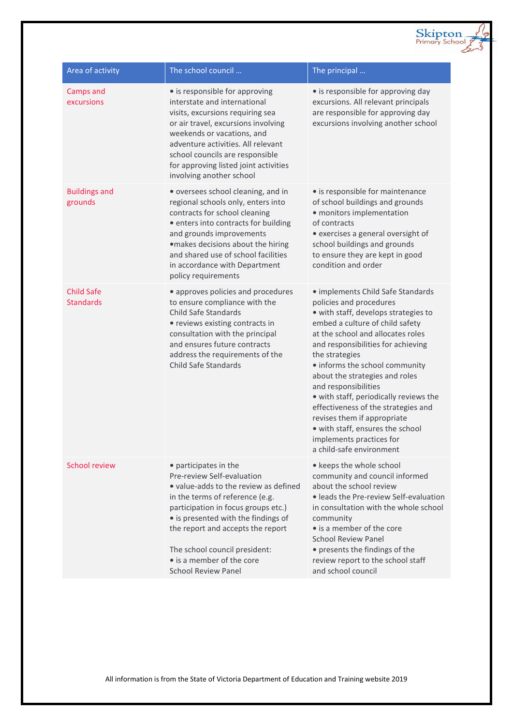| Area of activity                      | The school council                                                                                                                                                                                                                                                                                                                             | The principal                                                                                                                                                                                                                                                                                                                                                                                                                                                                                                                                |
|---------------------------------------|------------------------------------------------------------------------------------------------------------------------------------------------------------------------------------------------------------------------------------------------------------------------------------------------------------------------------------------------|----------------------------------------------------------------------------------------------------------------------------------------------------------------------------------------------------------------------------------------------------------------------------------------------------------------------------------------------------------------------------------------------------------------------------------------------------------------------------------------------------------------------------------------------|
| Camps and<br>excursions               | • is responsible for approving<br>interstate and international<br>visits, excursions requiring sea<br>or air travel, excursions involving<br>weekends or vacations, and<br>adventure activities. All relevant<br>school councils are responsible<br>for approving listed joint activities<br>involving another school                          | • is responsible for approving day<br>excursions. All relevant principals<br>are responsible for approving day<br>excursions involving another school                                                                                                                                                                                                                                                                                                                                                                                        |
| <b>Buildings and</b><br>grounds       | • oversees school cleaning, and in<br>regional schools only, enters into<br>contracts for school cleaning<br>· enters into contracts for building<br>and grounds improvements<br>·makes decisions about the hiring<br>and shared use of school facilities<br>in accordance with Department<br>policy requirements                              | • is responsible for maintenance<br>of school buildings and grounds<br>· monitors implementation<br>of contracts<br>• exercises a general oversight of<br>school buildings and grounds<br>to ensure they are kept in good<br>condition and order                                                                                                                                                                                                                                                                                             |
| <b>Child Safe</b><br><b>Standards</b> | • approves policies and procedures<br>to ensure compliance with the<br><b>Child Safe Standards</b><br>• reviews existing contracts in<br>consultation with the principal<br>and ensures future contracts<br>address the requirements of the<br><b>Child Safe Standards</b>                                                                     | · implements Child Safe Standards<br>policies and procedures<br>· with staff, develops strategies to<br>embed a culture of child safety<br>at the school and allocates roles<br>and responsibilities for achieving<br>the strategies<br>· informs the school community<br>about the strategies and roles<br>and responsibilities<br>• with staff, periodically reviews the<br>effectiveness of the strategies and<br>revises them if appropriate<br>· with staff, ensures the school<br>implements practices for<br>a child-safe environment |
| <b>School review</b>                  | • participates in the<br>Pre-review Self-evaluation<br>• value-adds to the review as defined<br>in the terms of reference (e.g.<br>participation in focus groups etc.)<br>• is presented with the findings of<br>the report and accepts the report<br>The school council president:<br>• is a member of the core<br><b>School Review Panel</b> | • keeps the whole school<br>community and council informed<br>about the school review<br>· leads the Pre-review Self-evaluation<br>in consultation with the whole school<br>community<br>• is a member of the core<br><b>School Review Panel</b><br>• presents the findings of the<br>review report to the school staff<br>and school council                                                                                                                                                                                                |

Skipton

Z